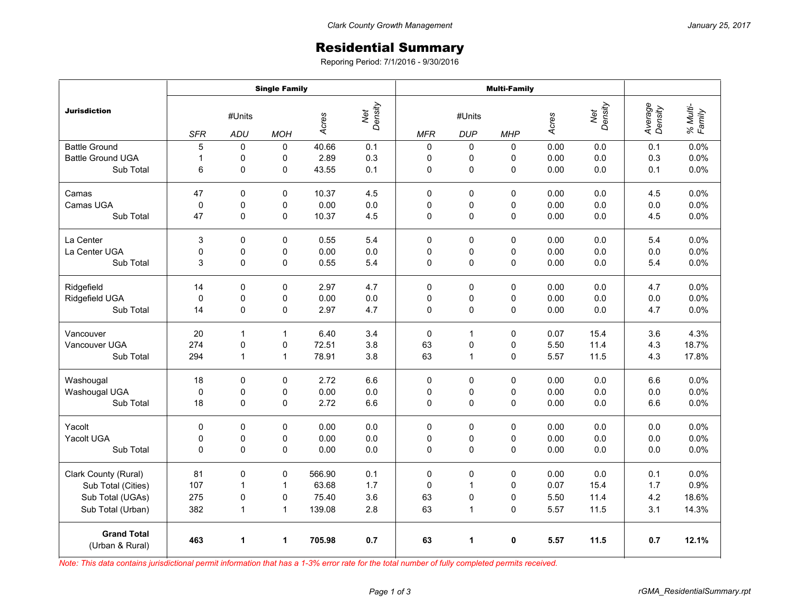## Residential Summary

Reporing Period: 7/1/2016 - 9/30/2016

|                                       | <b>Single Family</b> |              |              |        |                         | <b>Multi-Family</b> |              |             |       |                |                    |                    |
|---------------------------------------|----------------------|--------------|--------------|--------|-------------------------|---------------------|--------------|-------------|-------|----------------|--------------------|--------------------|
| <b>Jurisdiction</b>                   | #Units               |              |              |        | Net<br>Density<br>Acres |                     | #Units       |             |       | Net<br>Density | Average<br>Density | % Multi-<br>Family |
|                                       | <b>SFR</b>           | <b>ADU</b>   | <b>MOH</b>   |        |                         | <b>MFR</b>          | <b>DUP</b>   | <b>MHP</b>  | Acres |                |                    |                    |
| <b>Battle Ground</b>                  | 5                    | $\Omega$     | $\Omega$     | 40.66  | 0.1                     | $\mathsf 0$         | 0            | $\Omega$    | 0.00  | 0.0            | 0.1                | 0.0%               |
| <b>Battle Ground UGA</b>              | $\mathbf{1}$         | 0            | 0            | 2.89   | 0.3                     | 0                   | 0            | 0           | 0.00  | 0.0            | 0.3                | 0.0%               |
| Sub Total                             | 6                    | 0            | 0            | 43.55  | 0.1                     | 0                   | $\pmb{0}$    | 0           | 0.00  | 0.0            | 0.1                | 0.0%               |
| Camas                                 | 47                   | 0            | $\Omega$     | 10.37  | 4.5                     | $\Omega$            | $\mathbf 0$  | 0           | 0.00  | 0.0            | 4.5                | 0.0%               |
| Camas UGA                             | 0                    | 0            | 0            | 0.00   | $0.0\,$                 | 0                   | 0            | 0           | 0.00  | $0.0\,$        | 0.0                | 0.0%               |
| Sub Total                             | 47                   | 0            | 0            | 10.37  | 4.5                     | 0                   | $\mathbf 0$  | 0           | 0.00  | 0.0            | 4.5                | 0.0%               |
| La Center                             | 3                    | 0            | 0            | 0.55   | 5.4                     | 0                   | 0            | 0           | 0.00  | 0.0            | 5.4                | 0.0%               |
| La Center UGA                         | $\mathsf 0$          | $\pmb{0}$    | 0            | 0.00   | 0.0                     | 0                   | 0            | 0           | 0.00  | 0.0            | 0.0                | 0.0%               |
| Sub Total                             | 3                    | 0            | 0            | 0.55   | 5.4                     | 0                   | $\mathbf 0$  | 0           | 0.00  | 0.0            | 5.4                | 0.0%               |
| Ridgefield                            | 14                   | 0            | 0            | 2.97   | 4.7                     | $\Omega$            | 0            | 0           | 0.00  | 0.0            | 4.7                | 0.0%               |
| Ridgefield UGA                        | $\mathbf 0$          | 0            | 0            | 0.00   | $0.0\,$                 | 0                   | 0            | 0           | 0.00  | 0.0            | 0.0                | 0.0%               |
| Sub Total                             | 14                   | 0            | 0            | 2.97   | 4.7                     | 0                   | $\mathbf 0$  | $\mathbf 0$ | 0.00  | 0.0            | 4.7                | 0.0%               |
| Vancouver                             | 20                   | 1            | $\mathbf{1}$ | 6.40   | 3.4                     | $\mathbf 0$         | 1            | 0           | 0.07  | 15.4           | 3.6                | 4.3%               |
| Vancouver UGA                         | 274                  | $\mathbf 0$  | 0            | 72.51  | 3.8                     | 63                  | 0            | 0           | 5.50  | 11.4           | 4.3                | 18.7%              |
| Sub Total                             | 294                  | 1            | 1            | 78.91  | 3.8                     | 63                  | 1            | 0           | 5.57  | 11.5           | 4.3                | 17.8%              |
| Washougal                             | 18                   | $\mathbf 0$  | 0            | 2.72   | 6.6                     | $\mathbf 0$         | $\mathbf 0$  | 0           | 0.00  | 0.0            | 6.6                | 0.0%               |
| Washougal UGA                         | $\pmb{0}$            | 0            | 0            | 0.00   | $0.0\,$                 | 0                   | 0            | 0           | 0.00  | 0.0            | 0.0                | 0.0%               |
| Sub Total                             | 18                   | 0            | 0            | 2.72   | 6.6                     | $\Omega$            | $\pmb{0}$    | 0           | 0.00  | 0.0            | 6.6                | 0.0%               |
| Yacolt                                | 0                    | 0            | 0            | 0.00   | 0.0                     | 0                   | 0            | $\Omega$    | 0.00  | 0.0            | 0.0                | 0.0%               |
| Yacolt UGA                            | 0                    | $\mathbf 0$  | 0            | 0.00   | $0.0\,$                 | 0                   | 0            | 0           | 0.00  | 0.0            | 0.0                | 0.0%               |
| Sub Total                             | 0                    | $\mathbf 0$  | 0            | 0.00   | 0.0                     | 0                   | $\mathbf 0$  | 0           | 0.00  | 0.0            | 0.0                | 0.0%               |
| Clark County (Rural)                  | 81                   | 0            | $\mathbf 0$  | 566.90 | 0.1                     | $\mathbf 0$         | $\mathbf 0$  | 0           | 0.00  | 0.0            | 0.1                | 0.0%               |
| Sub Total (Cities)                    | 107                  | 1            | $\mathbf{1}$ | 63.68  | 1.7                     | 0                   | $\mathbf{1}$ | 0           | 0.07  | 15.4           | 1.7                | 0.9%               |
| Sub Total (UGAs)                      | 275                  | 0            | 0            | 75.40  | 3.6                     | 63                  | 0            | 0           | 5.50  | 11.4           | 4.2                | 18.6%              |
| Sub Total (Urban)                     | 382                  | $\mathbf{1}$ | $\mathbf{1}$ | 139.08 | 2.8                     | 63                  | $\mathbf{1}$ | 0           | 5.57  | 11.5           | 3.1                | 14.3%              |
| <b>Grand Total</b><br>(Urban & Rural) | 463                  | 1            | 1            | 705.98 | 0.7                     | 63                  | 1            | 0           | 5.57  | 11.5           | 0.7                | 12.1%              |

*Note: This data contains jurisdictional permit information that has a 1-3% error rate for the total number of fully completed permits received.*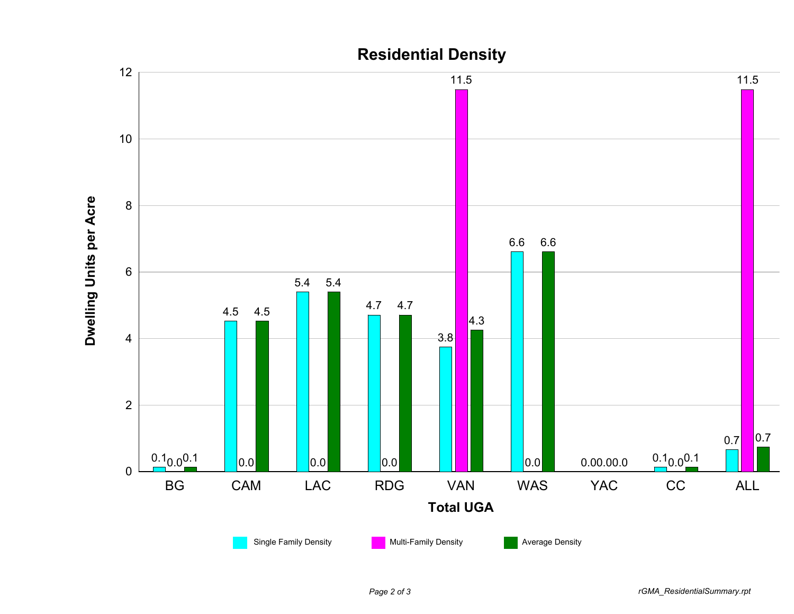